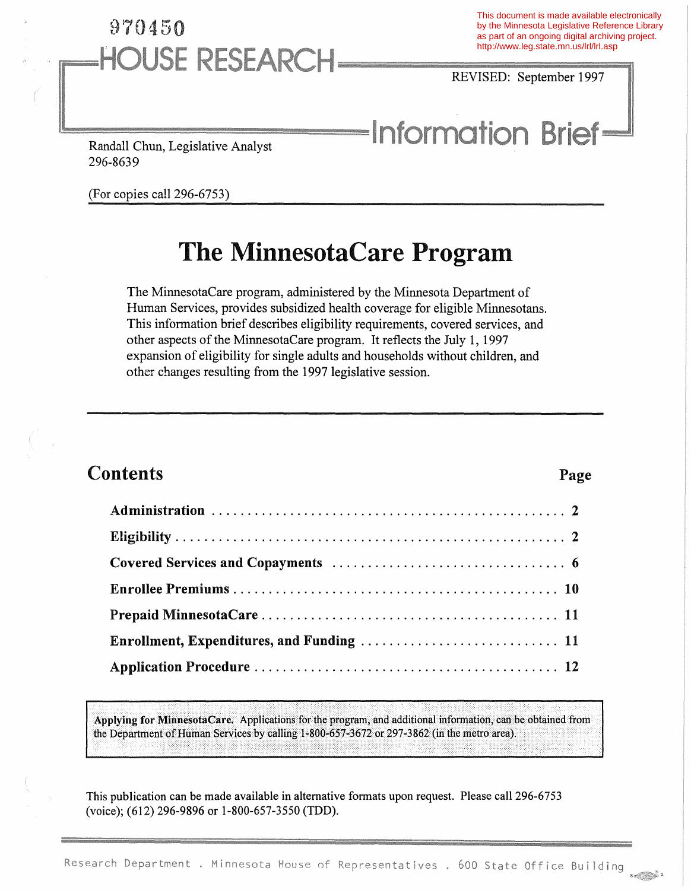## 970450 **HOUSE RESEARCH**

This document is made available electronically by the Minnesota Legislative Reference Library as part of an ongoing digital archiving project. http://www.leg.state.mn.us/lrl/lrl.asp

REVISED: September 1997

# **Information Brief-**

Randall Chun, Legislative Analyst 296-8639

(For copies call 296-6753)

## The MinnesotaCare Program

The MinnesotaCare program, administered by the Minnesota Department of Human Services, provides subsidized health coverage for eligible Minnesotans. This information brief describes eligibility requirements, covered services, and other aspects of the MinnesotaCare program. It reflects the July 1, 1997 expansion of eligibility for single adults and households without children, and other changes resulting from the 1997 legislative session.

### **Contents** Page

Applying for MinnesotaCare. Applications for the program, and additional information, can be obtained from the Department of Human Services by calling 1-800-657-3672 or 297-3862 (in the metro area).

This publication can be made available in alternative formats upon request. Please call 296-6753 (voice); (612) 296-9896 or 1-800-657-3550 (TDD).

 $S \nightharpoonup \nightharpoonup \nightharpoonup \nightharpoonup$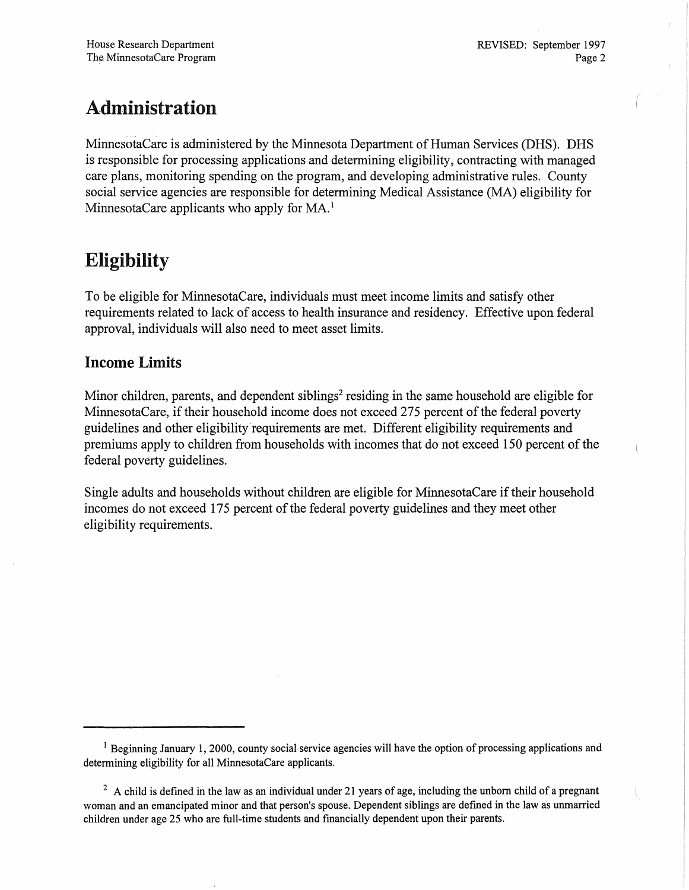### A.dministration

MinnesotaCare is administered by the Minnesota Department of Human Services (DHS). DHS is responsible for processing applications and determining eligibility, contracting with managed care plans, monitoring spending on the program, and developing administrative rules. County social service agencies are responsible for determining Medical Assistance (MA) eligibility for MinnesotaCare applicants who apply for MA.<sup>1</sup>

### Eligibility

To be eligible for MinnesotaCare, individuals must meet income limits and satisfy other requirements related to lack of access to health insurance and residency. Effective upon federal approval, individuals will also need to meet asset limits.

### Income Limits

Minor children, parents, and dependent siblings<sup>2</sup> residing in the same household are eligible for MinnesotaCare, if their household income does not exceed 275 percent of the federal poverty guidelines and other eligibility'requirements are met. Different eligibility requirements and premiums apply to children from households with incomes that do not exceed 150 percent of the federal poverty guidelines.

Single adults and households without children are eligible for MinnesotaCare if their household incomes do not exceed 175 percent of the federal poverty guidelines and they meet other eligibility requirements.

<sup>&</sup>lt;sup>1</sup> Beginning January 1, 2000, county social service agencies will have the option of processing applications and determining eligibility for all MinnesotaCare applicants.

 $2 \text{ A child}$  is defined in the law as an individual under 21 years of age, including the unborn child of a pregnant woman and an emancipated minor and that person's spouse. Dependent siblings are defmed in the law as unmarried children under age 25 who are full-time students and financially dependent upon their parents.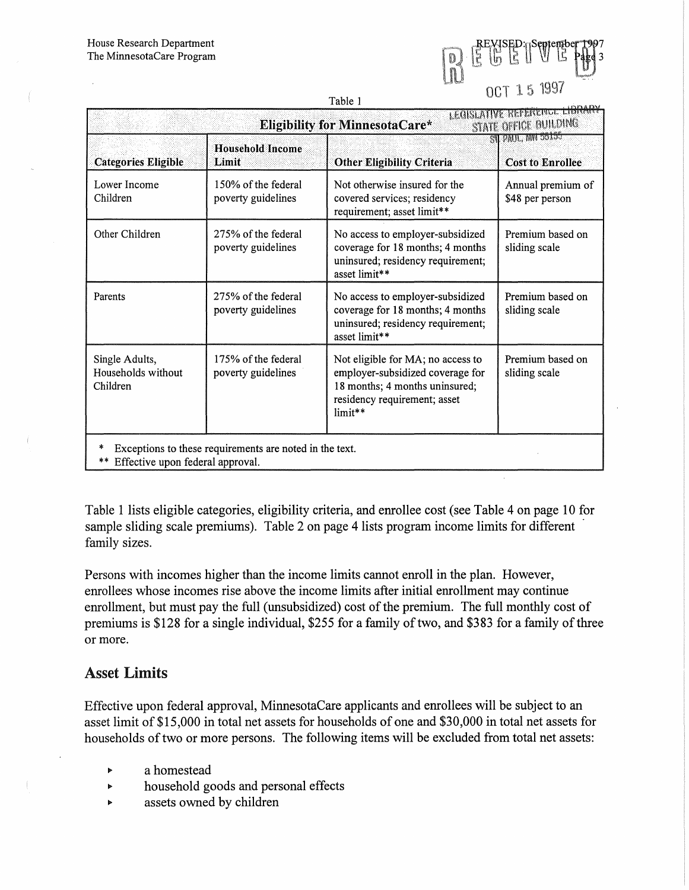| <b>CONTRACTOR</b><br>٠<br>Į | 弘 | 0 <sup>14</sup> | Þ |    | ra <b>Sentemb</b> e |  |
|-----------------------------|---|-----------------|---|----|---------------------|--|
|                             |   | . .             |   | ۰, | 54<br>۰             |  |

| Table 1                                                                                         |                                           |                                                                                                                                                    |                                              |  |  |
|-------------------------------------------------------------------------------------------------|-------------------------------------------|----------------------------------------------------------------------------------------------------------------------------------------------------|----------------------------------------------|--|--|
| LEGISLATIVE REFERENCE LIBRARY<br>STATE OFFICE BUILDING<br><b>Eligibility for MinnesotaCare*</b> |                                           |                                                                                                                                                    |                                              |  |  |
| <b>Categories Eligible</b>                                                                      | <b>Household Income</b><br>Limit          | <b>Other Eligibility Criteria</b>                                                                                                                  | ST PAUL, MN 55155<br><b>Cost to Enrollee</b> |  |  |
| Lower Income<br>Children                                                                        | 150% of the federal<br>poverty guidelines | Not otherwise insured for the<br>covered services; residency<br>requirement; asset limit**                                                         | Annual premium of<br>\$48 per person         |  |  |
| Other Children                                                                                  | 275% of the federal<br>poverty guidelines | No access to employer-subsidized<br>coverage for 18 months; 4 months<br>uninsured; residency requirement;<br>asset limit**                         | Premium based on<br>sliding scale            |  |  |
| Parents                                                                                         | 275% of the federal<br>poverty guidelines | No access to employer-subsidized<br>coverage for 18 months; 4 months<br>uninsured; residency requirement;<br>asset limit**                         | Premium based on<br>sliding scale            |  |  |
| Single Adults,<br>Households without<br>Children                                                | 175% of the federal<br>poverty guidelines | Not eligible for MA; no access to<br>employer-subsidized coverage for<br>18 months; 4 months uninsured;<br>residency requirement; asset<br>limit** | Premium based on<br>sliding scale            |  |  |
| Exceptions to these requirements are noted in the text.<br>** Effective upon federal approval.  |                                           |                                                                                                                                                    |                                              |  |  |

Table 1 lists eligible categories, eligibility criteria, and enrollee cost (see Table 4 on page 10 for sample sliding scale premiums). Table 2 on page 4 lists program income limits for different family sizes.

Persons with incomes higher than the income limits cannot enroll in the plan. However, enrollees whose incomes rise above the income limits after initial enrollment may continue enrollment, but must pay the full (unsubsidized) cost of the premium. The full monthly cost of premiums is \$128 for a single individual, \$255 for a family of two, and \$383 for a family of three or more.

#### Asset Limits

Effective upon federal approval, MinnesotaCare applicants and enrollees will be subject to an asset limit of \$15,000 in total net assets for households of one and \$30,000 in total net assets for households of two or more persons. The following items will be excluded from total net assets:

- $\ddot{\phantom{a}}$ a homestead
- household goods and personal effects  $\blacktriangleright$
- $\blacktriangleright$ assets owned by children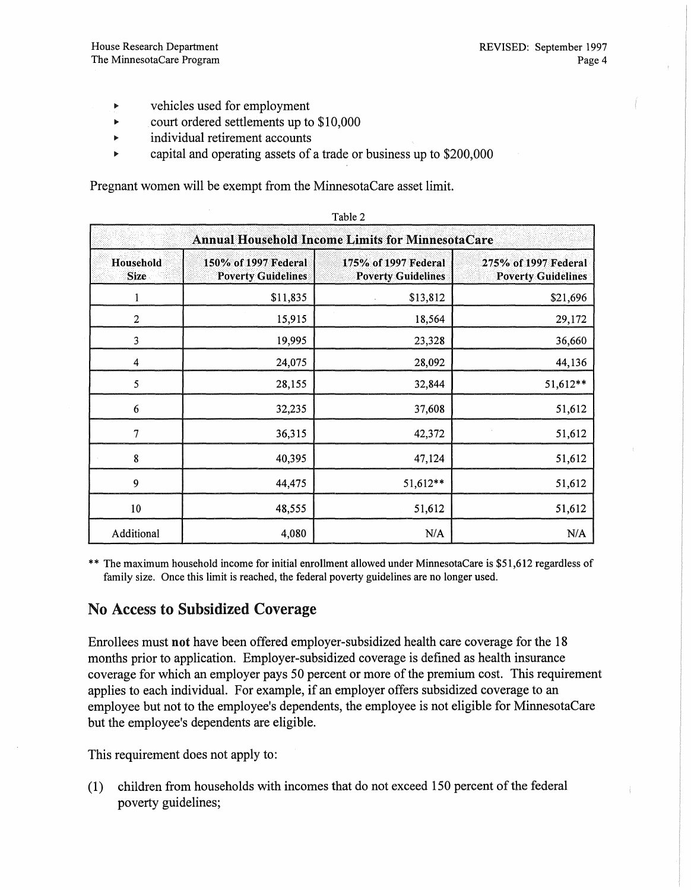- $\blacktriangleright$ vehicles used for employment
- court ordered settlements up to \$10,000
- individual retirement accounts  $\ddot{\phantom{a}}$
- capital and operating assets of a trade or business up to \$200,000

Pregnant women will be exempt from the MinnesotaCare asset limit.

| Annual Household Income Limits for Minnesota Care |                                                   |                                                   |                                                   |  |  |
|---------------------------------------------------|---------------------------------------------------|---------------------------------------------------|---------------------------------------------------|--|--|
| Household<br><b>Size</b>                          | 150% of 1997 Federal<br><b>Poverty Guidelines</b> | 175% of 1997 Federal<br><b>Poverty Guidelines</b> | 275% of 1997 Federal<br><b>Poverty Guidelines</b> |  |  |
|                                                   | \$11,835                                          | \$13,812                                          | \$21,696                                          |  |  |
| $\overline{\mathbf{c}}$                           | 15,915                                            | 18,564                                            | 29,172                                            |  |  |
| 3                                                 | 19,995                                            | 23,328                                            | 36,660                                            |  |  |
| 4                                                 | 24,075                                            | 28,092                                            | 44,136                                            |  |  |
| 5                                                 | 28,155                                            | 32,844                                            | 51,612**                                          |  |  |
| 6                                                 | 32,235                                            | 37,608                                            | 51,612                                            |  |  |
| 7                                                 | 36,315                                            | 42,372                                            | 51,612                                            |  |  |
| 8                                                 | 40,395                                            | 47,124                                            | 51,612                                            |  |  |
| 9                                                 | 44,475                                            | 51,612**                                          | 51,612                                            |  |  |
| 10                                                | 48,555                                            | 51,612                                            | 51,612                                            |  |  |
| Additional                                        | 4,080                                             | N/A                                               | N/A                                               |  |  |

Table 2

\*\* The maximum household income for initial enrollment allowed under MinnesotaCare is \$51,612 regardless of family size. Once this limit is reached, the federal poverty guidelines are no longer used.

### No Access to Subsidized Coverage

Enrollees must not have been offered employer-subsidized health care coverage for the 18 months prior to application. Employer-subsidized coverage is defined as health insurance coverage for which an employer pays 50 percent or more of the premium cost. This requirement applies to each individual. For example, if an employer offers subsidized coverage to an employee but not to the employee's dependents, the employee is not eligible for MinnesotaCare but the employee's dependents are eligible.

This requirement does not apply to:

 $(1)$  children from households with incomes that do not exceed 150 percent of the federal poverty guidelines;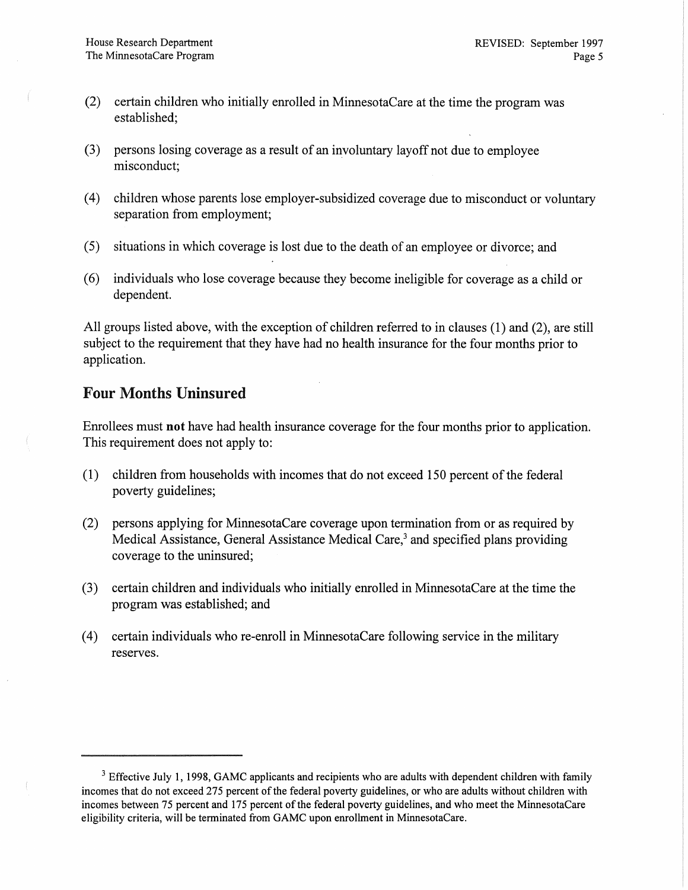- (2) certain children who initially enrolled in MinnesotaCare at the time the program was established;
- (3) persons losing coverage as a result of an involuntary layoff not due to employee misconduct;
- (4) children whose parents lose employer-subsidized coverage due to misconduct or voluntary separation from employment;
- (5) situations in which coverage is lost due to the death of an employee or divorce; and
- (6) individuals who lose coverage because they become ineligible for coverage as a child or dependent.

All groups listed above, with the exception of children referred to in clauses (1) and (2), are still subject to the requirement that they have had no health insurance for the four months prior to application.

### Four Months Uninsured

Enrollees must not have had health insurance coverage for the four months prior to application. This requirement does not apply to:

- $(1)$  children from households with incomes that do not exceed 150 percent of the federal poverty guidelines;
- (2) persons applying for MinnesotaCare coverage upon termination from or as required by Medical Assistance, General Assistance Medical Care,<sup>3</sup> and specified plans providing coverage to the uninsured;
- (3) certain children and individuals who initially enrolled in MinnesotaCare at the time the program was established; and
- (4) certain individuals who re-enroll in MinnesotaCare following service in the military reserves.

 $3$  Effective July 1, 1998, GAMC applicants and recipients who are adults with dependent children with family incomes that do not exceed 275 percent of the federal poverty guidelines, or who are adults without children with incomes between 75 percent and 175 percent of the federal poverty guidelines, and who meet the MinnesotaCare eligibility criteria, will be terminated from GAMC upon enrollment in MinnesotaCare.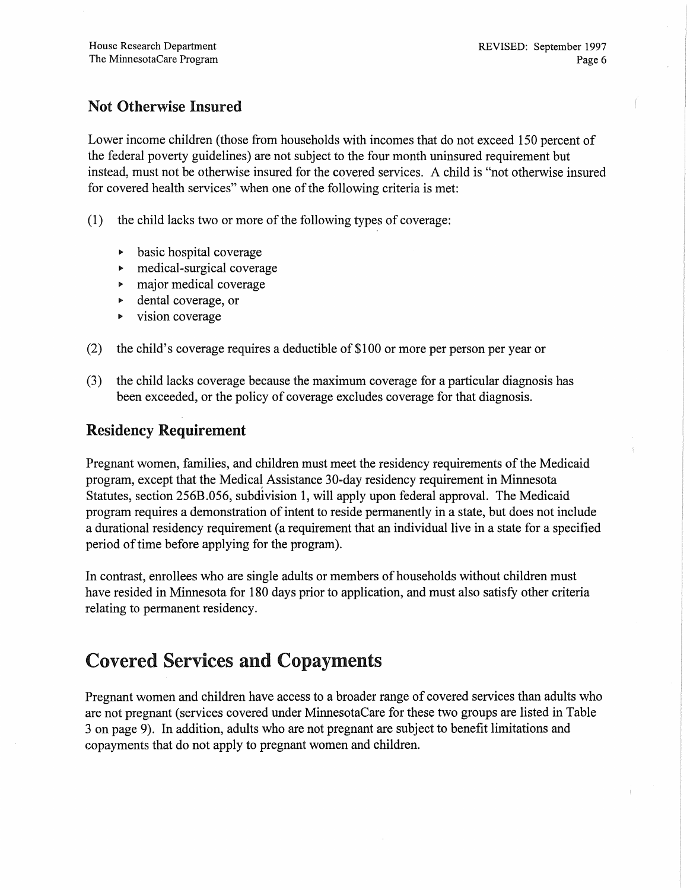### Not Otherwise Insured

Lower income children (those from households with incomes that do not exceed 150 percent of the federal poverty guidelines) are not subject to the four month uninsured requirement but instead, must not be otherwise insured for the covered services. A child is "not otherwise insured for covered health services" when one of the following criteria is met:

- $(1)$  the child lacks two or more of the following types of coverage:
	- basic hospital coverage  $\blacktriangleright$
	- $\blacktriangleright$ medical-surgical coverage
	- major medical coverage  $\blacktriangleright$
	- dental coverage, or
	- vision coverage K
- (2) the child's coverage requires a deductible of \$100 or more per person per year or
- (3) the child lacks coverage because the maximum coverage for a particular diagnosis has been exceeded, or the policy of coverage excludes coverage for that diagnosis.

### Residency Requirement

Pregnant women, families, and children must meet the residency requirements of the Medicaid program, except that the Medical Assistance 30-day residency requirement in Minnesota Statutes, section 256B.056, subdivision 1, will apply upon federal approval. The Medicaid program requires a demonstration of intent to reside permanently in a state, but does not include a durational residency requirement (a requirement that an individual live in a state for a specified period of time before applying for the program).

In contrast, enrollees who are single adults or members of households without children must have resided in Minnesota for 180 days prior to application, and must also satisfy other criteria relating to permanent residency.

### Covered Services and Copayments

Pregnant women and children have access to a broader range of covered services than adults who are not pregnant (services covered under MinnesotaCare for these two groups are listed in Table 3 on page 9). In addition, adults who are not pregnant are subject to benefit limitations and copayments that do not apply to pregnant women and children.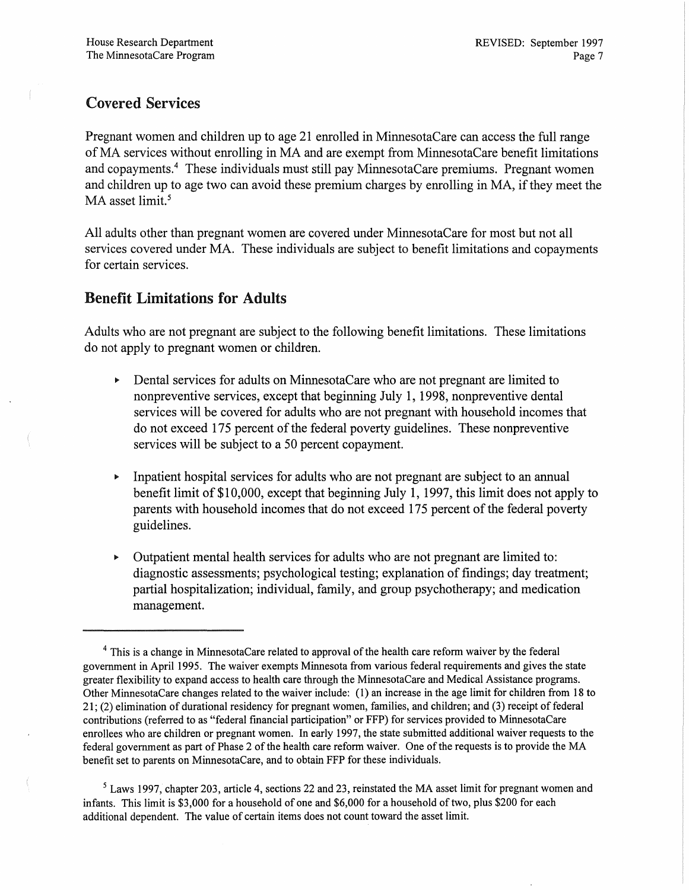### Covered Services

Pregnant women and children up to age 21 enrolled in MinnesotaCare can access the full range ofMA services without enrolling in MA and are exempt from MinnesotaCare benefit limitations and copayments.<sup>4</sup> These individuals must still pay MinnesotaCare premiums. Pregnant women and children up to age two can avoid these premium charges by enrolling in MA, if they meet the MA asset limit.<sup>5</sup>

All adults other than pregnant women are covered under MinnesotaCare for most but not all services covered under MA. These individuals are subject to benefit limitations and copayments for certain services.

#### Benefit Limitations for Adults

Adults who are not pregnant are subject to the following benefit limitations. These limitations do not apply to pregnant women or children.

- Dental services for adults on MinnesotaCare who are not pregnant are limited to  $\blacktriangleright$ nonpreventive services, except that beginning July 1, 1998, nonpreventive dental services will be covered for adults who are not pregnant with household incomes that do not exceed 175 percent of the federal poverty guidelines. These nonpreventive services will be subject to a 50 percent copayment.
- Inpatient hospital services for adults who are not pregnant are subject to an annual  $\frac{1}{2}$ benefit limit of \$10,000, except that beginning July 1, 1997, this limit does not apply to parents with household incomes that do not exceed 175 percent of the federal poverty guidelines.
- Outpatient mental health services for adults who are not pregnant are limited to:  $\blacktriangleright$ diagnostic assessments; psychological testing; explanation of findings; day treatment; partial hospitalization; individual, family, and group psychotherapy; and medication management.

<sup>5</sup> Laws 1997, chapter 203, article 4, sections 22 and 23, reinstated the MA asset limit for pregnant women and infants. This limit is \$3,000 for a household of one and \$6,000 for a household oftwo, plus \$200 for each additional dependent. The value of certain items does not count toward the asset limit.

<sup>&</sup>lt;sup>4</sup> This is a change in MinnesotaCare related to approval of the health care reform waiver by the federal government in April 1995. The waiver exempts Minnesota from various federal requirements and gives the state greater flexibility to expand access to health care through the MinnesotaCare and Medical Assistance programs. Other MinnesotaCare changes related to the waiver include: (l) an increase in the age limit for children from 18 to  $21$ ; (2) elimination of durational residency for pregnant women, families, and children; and (3) receipt of federal contributions (referred to as "federal financial participation" or FFP) for services provided to MinnesotaCare enrollees who are children or pregnant women. In early 1997, the state submitted additional waiver requests to the federal government as part of Phase 2 of the health care reform waiver. One of the requests is to provide the MA benefit set to parents on MinnesotaCare, and to obtain FFP for these individuals.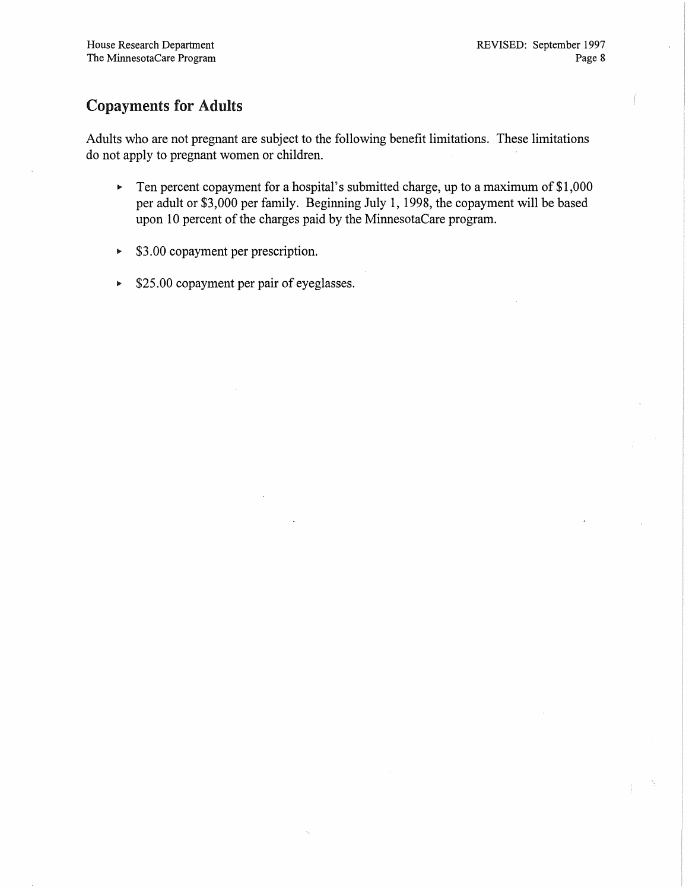### Copayments for Adults

Adults who are not pregnant are subject to the following benefit limitations. These limitations do not apply to pregnant women or children.

- Ten percent copayment for a hospital's submitted charge, up to a maximum of \$1 ,000  $\mathbf{b}^{\top}$ per adult or \$3,000 per family. Beginning July 1, 1998, the copayment will be based upon 10 percent of the charges paid by the MinnesotaCare program.
- \$3.00 copayment per prescription.  $\blacktriangleright$
- $\blacktriangleright$  \$25.00 copayment per pair of eyeglasses.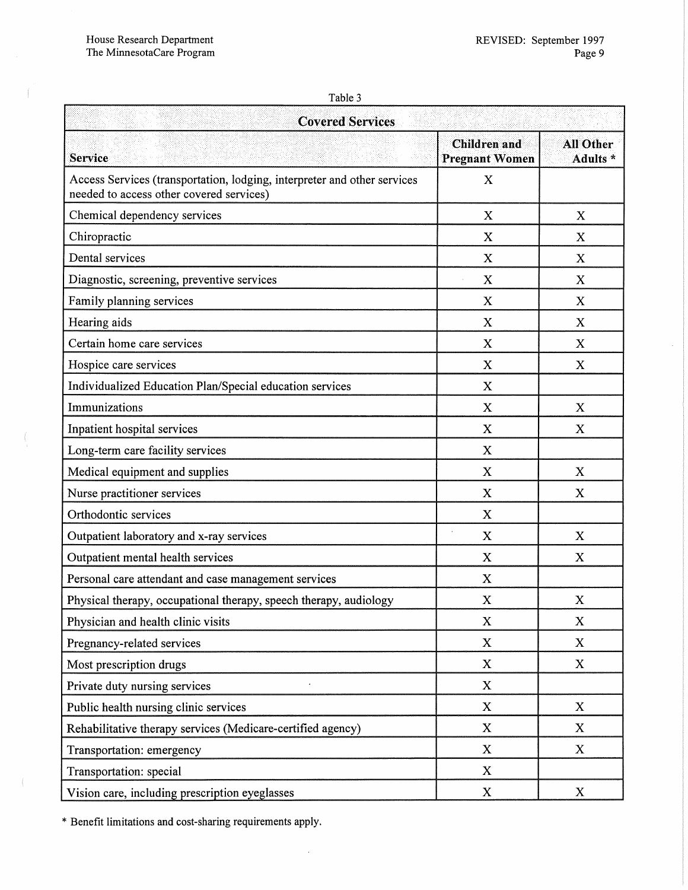$\langle$ 

 $\langle$ 

 $\overline{\mathbb{C}}$ 

 $\hat{\mathcal{A}}$ 

| í. |  |
|----|--|
|----|--|

| <b>Covered Services</b>                                                                                              |                                              |                              |  |  |
|----------------------------------------------------------------------------------------------------------------------|----------------------------------------------|------------------------------|--|--|
| <b>Service</b>                                                                                                       | <b>Children</b> and<br><b>Pregnant Women</b> | <b>All Other</b><br>Adults * |  |  |
| Access Services (transportation, lodging, interpreter and other services<br>needed to access other covered services) | $\mathbf X$                                  |                              |  |  |
| Chemical dependency services                                                                                         | $\boldsymbol{\mathrm{X}}$                    | X                            |  |  |
| Chiropractic                                                                                                         | $\mathbf X$                                  | X                            |  |  |
| Dental services                                                                                                      | X                                            | X                            |  |  |
| Diagnostic, screening, preventive services                                                                           | X                                            | X                            |  |  |
| Family planning services                                                                                             | X                                            | $\boldsymbol{\mathrm{X}}$    |  |  |
| Hearing aids                                                                                                         | $\mathbf X$                                  | X                            |  |  |
| Certain home care services                                                                                           | $\mathbf X$                                  | X                            |  |  |
| Hospice care services                                                                                                | $\mathbf X$                                  | X                            |  |  |
| Individualized Education Plan/Special education services                                                             | $\mathbf X$                                  |                              |  |  |
| Immunizations                                                                                                        | $\bf{X}$                                     | X                            |  |  |
| Inpatient hospital services                                                                                          | X                                            | X                            |  |  |
| Long-term care facility services                                                                                     | X                                            |                              |  |  |
| Medical equipment and supplies                                                                                       | X                                            | X                            |  |  |
| Nurse practitioner services                                                                                          | $\mathbf X$                                  | $\mathbf X$                  |  |  |
| Orthodontic services                                                                                                 | X                                            |                              |  |  |
| Outpatient laboratory and x-ray services                                                                             | $\mathbf X$                                  | X                            |  |  |
| Outpatient mental health services                                                                                    | X                                            | X                            |  |  |
| Personal care attendant and case management services                                                                 | X                                            |                              |  |  |
| Physical therapy, occupational therapy, speech therapy, audiology                                                    | $\boldsymbol{\mathrm{X}}$                    | X                            |  |  |
| Physician and health clinic visits                                                                                   | $\boldsymbol{X}$                             | $\mathbf X$                  |  |  |
| Pregnancy-related services                                                                                           | $\mathbf X$                                  | $\mathbf{X}$                 |  |  |
| Most prescription drugs                                                                                              | $\mathbf X$                                  | X                            |  |  |
| Private duty nursing services                                                                                        | $\mathbf X$                                  |                              |  |  |
| Public health nursing clinic services                                                                                | $\mathbf X$                                  | X                            |  |  |
| Rehabilitative therapy services (Medicare-certified agency)                                                          | X                                            | X                            |  |  |
| Transportation: emergency                                                                                            | X                                            | X                            |  |  |
| Transportation: special                                                                                              | $\mathbf{X}$                                 |                              |  |  |
| Vision care, including prescription eyeglasses                                                                       | $\boldsymbol{\mathrm{X}}$                    | $\boldsymbol{\mathrm{X}}$    |  |  |

 $\hat{\mathcal{A}}$ 

\* Benefit limitations and cost-sharing requirements apply.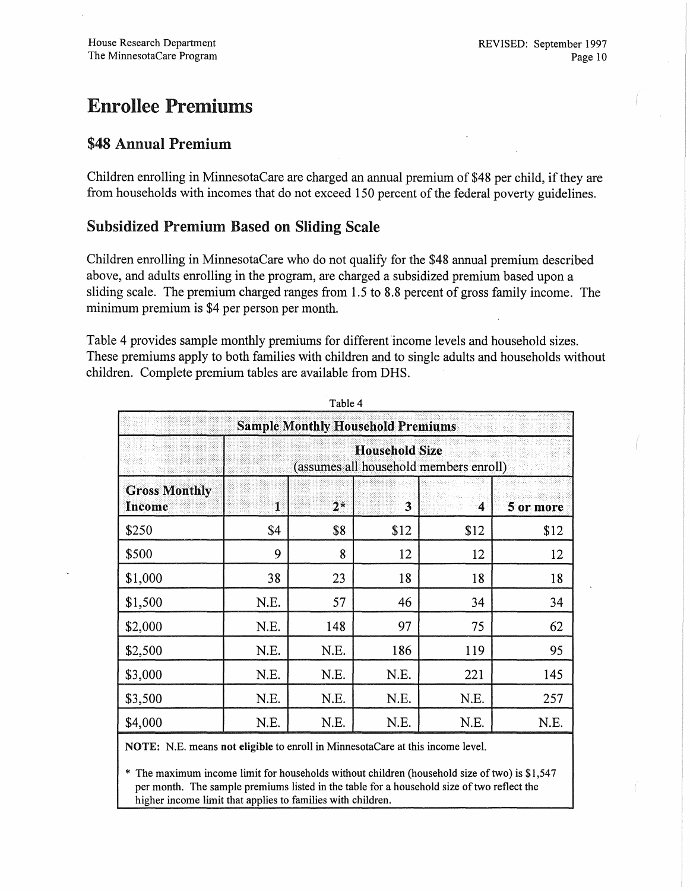### Enrollee Premiums

### \$48 Annual Premium

Children enrolling in MinnesotaCare are charged an annual premium of \$48 per child, if they are from households with incomes that do not exceed 150 percent of the federal poverty guidelines.

#### Subsidized Premium Based on Sliding Scale

Children enrolling in MinnesotaCare who do not qualify for the \$48 annual premium described above, and adults enrolling in the program, are charged a subsidized premium based upon a sliding scale. The premium charged ranges from 1.5 to 8.8 percent of gross family income. The minimum premium is \$4 per person per month.

Table 4 provides sample monthly premiums for different 'income levels and household sizes. These premiums apply to both families with children and to single adults and households without children. Complete premium tables are available from DRS.

| <b>Sample Monthly Household Premiums</b> |                                                                 |      |                |      |           |
|------------------------------------------|-----------------------------------------------------------------|------|----------------|------|-----------|
|                                          | <b>Household Size</b><br>(assumes all household members enroll) |      |                |      |           |
| <b>Gross Monthly</b><br>Income           | $\mathbf{1}$                                                    | $2*$ | $\overline{3}$ | 4    | 5 or more |
| \$250                                    | \$4                                                             | \$8  | \$12           | \$12 | \$12      |
| \$500                                    | 9                                                               | 8    | 12             | 12   | 12        |
| \$1,000                                  | 38                                                              | 23   | 18             | 18   | 18        |
| \$1,500                                  | N.E.                                                            | 57   | 46             | 34   | 34        |
| \$2,000                                  | N.E.                                                            | 148  | 97             | 75   | 62        |
| \$2,500                                  | N.E.                                                            | N.E. | 186            | 119  | 95        |
| \$3,000                                  | N.E.                                                            | N.E. | N.E.           | 221  | 145       |
| \$3,500                                  | N.E.                                                            | N.E. | N.E.           | N.E. | 257       |
| \$4,000                                  | N.E.                                                            | N.E. | N.E.           | N.E. | N.E.      |

Table 4

NOTE: N.E. means not eligible to enroll in MinnesotaCare at this income level.

The maximum income limit for households without children (household size of two) is  $$1,547$ per month. The sample premiums listed in the table for a household size of two reflect the higher income limit that applies to families with children.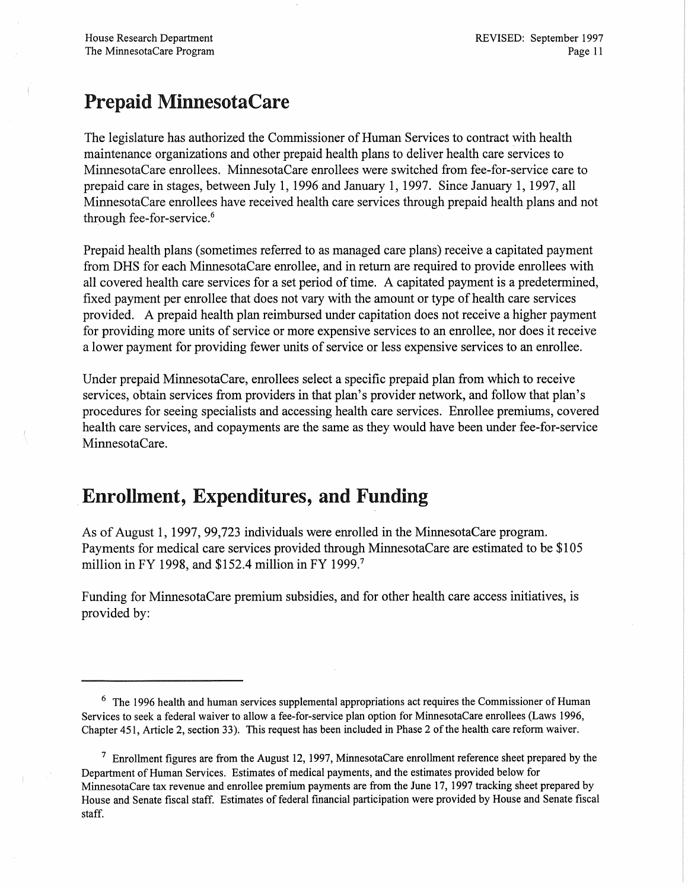### Prepaid MinnesotaCare

The legislature has authorized the Commissioner of Human Services to contract with health maintenance organizations and other prepaid health plans to deliver health care services to MinnesotaCare enrollees. MinnesotaCare enrollees were switched from fee-for-service care to prepaid care in stages, between July 1, 1996 and January 1, 1997. Since January 1, 1997, all MinnesotaCare enrollees have received health care services through prepaid health plans and not through fee-for-service.<sup>6</sup>

Prepaid health plans (sometimes referred to as managed care plans) receive a capitated payment from DHS for each MinnesotaCare enrollee, and in return are required to provide enrollees with all covered health care services for a set period of time. A capitated payment is a predetermined, fixed payment per enrollee that does not vary with the amount or type of health care services provided. A prepaid health plan reimbursed under capitation does not receive a higher payment for providing more units of service or more expensive services to an enrollee, nor does it receive a lower payment for providing fewer units of service or less expensive services to an enrollee.

Under prepaid MinnesotaCare, enrollees select a specific prepaid plan from which to receive services, obtain services from providers in that plan's provider network, and follow that plan's procedures for seeing specialists and accessing health care services. Enrollee premiums, covered health care services, and copayments are the same as they would have been under fee-for-service MinnesotaCare.

### Enrollment, Expenditures, and Funding

As of August 1, 1997, 99,723 individuals were enrolled in the MinnesotaCare program. Payments for medical care services provided through MinnesotaCare are estimated to be \$105 million in FY 1998, and \$152.4 million in FY 1999.<sup>7</sup>

Funding for MinnesotaCare premium subsidies, and for other health care access initiatives, is provided by:

<sup>&</sup>lt;sup>6</sup> The 1996 health and human services supplemental appropriations act requires the Commissioner of Human Services to seek a federal waiver to allow a fee-for-service plan option for MinnesotaCare enrollees (Laws 1996, Chapter 451, Article 2, section 33). This request has been included in Phase 2 of the health care reform waiver.

 $7$  Enrollment figures are from the August 12, 1997, MinnesotaCare enrollment reference sheet prepared by the Department of Human Services. Estimates of medical payments, and the estimates provided below for MinnesotaCare tax revenue and enrollee premium payments are from the June 17, 1997 tracking sheet prepared by House and Senate fiscal staff. Estimates of federal financial participation were provided by House and Senate fiscal staff.